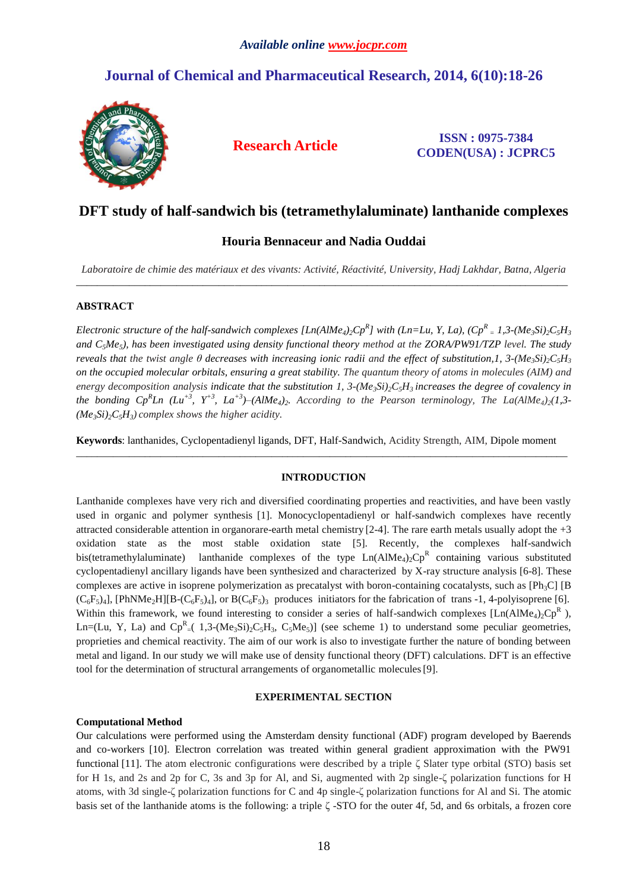# **Journal of Chemical and Pharmaceutical Research, 2014, 6(10):18-26**



**Research Article ISSN : 0975-7384 CODEN(USA) : JCPRC5**

## **DFT study of half-sandwich bis (tetramethylaluminate) lanthanide complexes**

## **Houria Bennaceur and Nadia Ouddai**

*Laboratoire de chimie des matériaux et des vivants: Activité, Réactivité, University, Hadj Lakhdar, Batna, Algeria* \_\_\_\_\_\_\_\_\_\_\_\_\_\_\_\_\_\_\_\_\_\_\_\_\_\_\_\_\_\_\_\_\_\_\_\_\_\_\_\_\_\_\_\_\_\_\_\_\_\_\_\_\_\_\_\_\_\_\_\_\_\_\_\_\_\_\_\_\_\_\_\_\_\_\_\_\_\_\_\_\_\_\_\_\_\_\_\_\_\_\_\_\_

## **ABSTRACT**

Electronic structure of the half-sandwich complexes [Ln(AlMe<sub>4)2</sub>Cp<sup>R</sup>] with (Ln=Lu, Y, La), (Cp<sup>R</sup> = 1,3-(Me<sub>3</sub>Si)<sub>2</sub>C<sub>5</sub>H<sub>3</sub> *and C5Me5), has been investigated using density functional theory method at the ZORA/PW91/TZP level. The study reveals that the twist angle*  $\theta$  *decreases with increasing ionic radii and the effect of substitution,1,*  $3-(Me<sub>3</sub>Si)<sub>2</sub>C<sub>5</sub>H<sub>3</sub>$ *on the occupied molecular orbitals, ensuring a great stability. The quantum theory of atoms in molecules (AIM) and*  energy decomposition analysis indicate that the substitution 1,  $3-(Me<sub>3</sub>Si)<sub>2</sub>C<sub>3</sub>H<sub>3</sub>$  increases the degree of covalency in *the bonding Cp<sup>R</sup> Ln (Lu+3, Y+3, La+3)–(AlMe4)2. According to the Pearson terminology, The La(AlMe4)2(1,3-*  $(Me<sub>3</sub>Si)<sub>2</sub>C<sub>5</sub>H<sub>3</sub>$ *complex shows the higher acidity.* 

**Keywords**: lanthanides, Cyclopentadienyl ligands, DFT, Half-Sandwich, Acidity Strength, AIM, Dipole moment \_\_\_\_\_\_\_\_\_\_\_\_\_\_\_\_\_\_\_\_\_\_\_\_\_\_\_\_\_\_\_\_\_\_\_\_\_\_\_\_\_\_\_\_\_\_\_\_\_\_\_\_\_\_\_\_\_\_\_\_\_\_\_\_\_\_\_\_\_\_\_\_\_\_\_\_\_\_\_\_\_\_\_\_\_\_\_\_\_\_\_\_\_

## **INTRODUCTION**

Lanthanide complexes have very rich and diversified coordinating properties and reactivities, and have been vastly used in organic and polymer synthesis [1]. Monocyclopentadienyl or half-sandwich complexes have recently attracted considerable attention in organorare-earth metal chemistry [2-4]. The rare earth metals usually adopt the +3 oxidation state as the most stable oxidation state [5]. Recently, the complexes half-sandwich bis(tetramethylaluminate) lanthanide complexes of the type  $Ln(AIME_4)_2 Cp^R$  containing various substituted cyclopentadienyl ancillary ligands have been synthesized and characterized by X-ray structure analysis [6-8]. These complexes are active in isoprene polymerization as precatalyst with boron-containing cocatalysts, such as  $[Ph_3C]$   $[Br_3C]$  $(C_6F_5)_4$ ], [PhNMe<sub>2</sub>H][B-(C<sub>6</sub>F<sub>5</sub>)<sub>4</sub>], or B(C<sub>6</sub>F<sub>5</sub>)<sub>3</sub> produces initiators for the fabrication of trans -1, 4-polyisoprene [6]. Within this framework, we found interesting to consider a series of half-sandwich complexes  $[Ln(AIME<sub>4</sub>)<sub>2</sub>CP<sup>R</sup>$ ), Ln=(Lu, Y, La) and  $\text{Cp}^R = (1,3-(\text{Me}_3\text{Si})_2\text{C}_5\text{H}_3, \text{C}_5\text{Me}_5)$  (see scheme 1) to understand some peculiar geometries, proprieties and chemical reactivity. The aim of our work is also to investigate further the nature of bonding between metal and ligand. In our study we will make use of density functional theory (DFT) calculations. DFT is an effective tool for the determination of structural arrangements of organometallic molecules[9].

## **EXPERIMENTAL SECTION**

## **Computational Method**

Our calculations were performed using the Amsterdam density functional (ADF) program developed by Baerends and co-workers [10]. Electron correlation was treated within general gradient approximation with the PW91 functional [11]. The atom electronic configurations were described by a triple ζ Slater type orbital (STO) basis set for H 1s, and 2s and 2p for C, 3s and 3p for Al, and Si, augmented with 2p single-ζ polarization functions for H atoms, with 3d single-ζ polarization functions for C and 4p single-ζ polarization functions for Al and Si. The atomic basis set of the lanthanide atoms is the following: a triple ζ -STO for the outer 4f, 5d, and 6s orbitals, a frozen core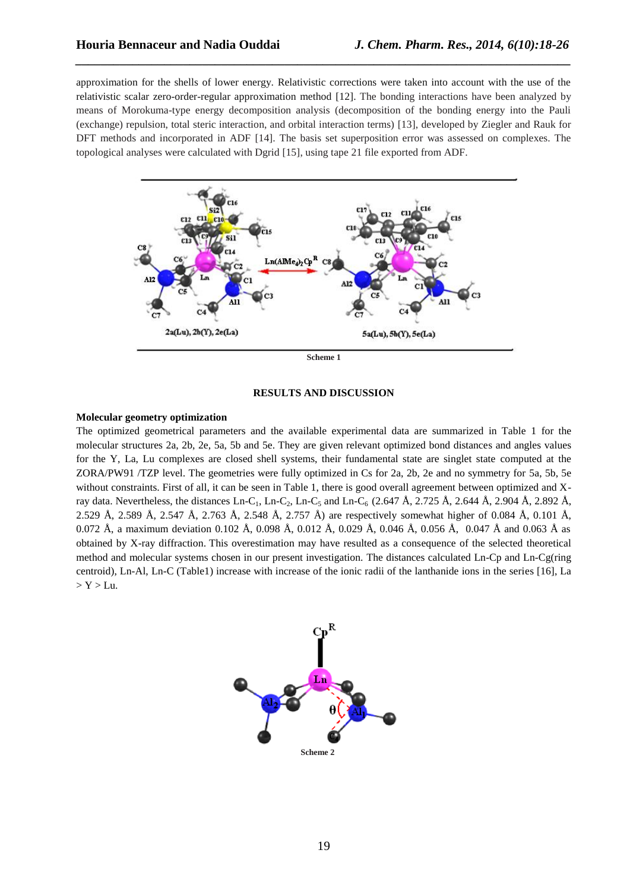approximation for the shells of lower energy. Relativistic corrections were taken into account with the use of the relativistic scalar zero-order-regular approximation method [12]. The bonding interactions have been analyzed by means of Morokuma-type energy decomposition analysis (decomposition of the bonding energy into the Pauli (exchange) repulsion, total steric interaction, and orbital interaction terms) [13], developed by Ziegler and Rauk for DFT methods and incorporated in ADF [14]. The basis set superposition error was assessed on complexes. The topological analyses were calculated with Dgrid [15], using tape 21 file exported from ADF.

*\_\_\_\_\_\_\_\_\_\_\_\_\_\_\_\_\_\_\_\_\_\_\_\_\_\_\_\_\_\_\_\_\_\_\_\_\_\_\_\_\_\_\_\_\_\_\_\_\_\_\_\_\_\_\_\_\_\_\_\_\_\_\_\_\_\_\_\_\_\_\_\_\_\_\_\_\_\_*



**Scheme 1**

#### **RESULTS AND DISCUSSION**

#### **Molecular geometry optimization**

The optimized geometrical parameters and the available experimental data are summarized in Table 1 for the molecular structures 2a, 2b, 2e, 5a, 5b and 5e. They are given relevant optimized bond distances and angles values for the Y, La, Lu complexes are closed shell systems, their fundamental state are singlet state computed at the ZORA/PW91 /TZP level. The geometries were fully optimized in Cs for 2a, 2b, 2e and no symmetry for 5a, 5b, 5e without constraints. First of all, it can be seen in Table 1, there is good overall agreement between optimized and Xray data. Nevertheless, the distances Ln-C<sub>1</sub>, Ln-C<sub>2</sub>, Ln-C<sub>5</sub> and Ln-C<sub>6</sub> (2.647 Å, 2.725 Å, 2.644 Å, 2.904 Å, 2.892 Å, 2.529 Å, 2.589 Å, 2.547 Å, 2.763 Å, 2.548 Å, 2.757 Å) are respectively somewhat higher of 0.084 Å, 0.101 Å, 0.072 Å, a maximum deviation 0.102 Å, 0.098 Å, 0.012 Å, 0.029 Å, 0.046 Å, 0.056 Å, 0.047 Å and 0.063 Å as obtained by X-ray diffraction. This overestimation may have resulted as a consequence of the selected theoretical method and molecular systems chosen in our present investigation. The distances calculated Ln-Cp and Ln-Cg(ring centroid), Ln-Al, Ln-C (Table1) increase with increase of the ionic radii of the lanthanide ions in the series [16], La  $> Y > Lu$ .

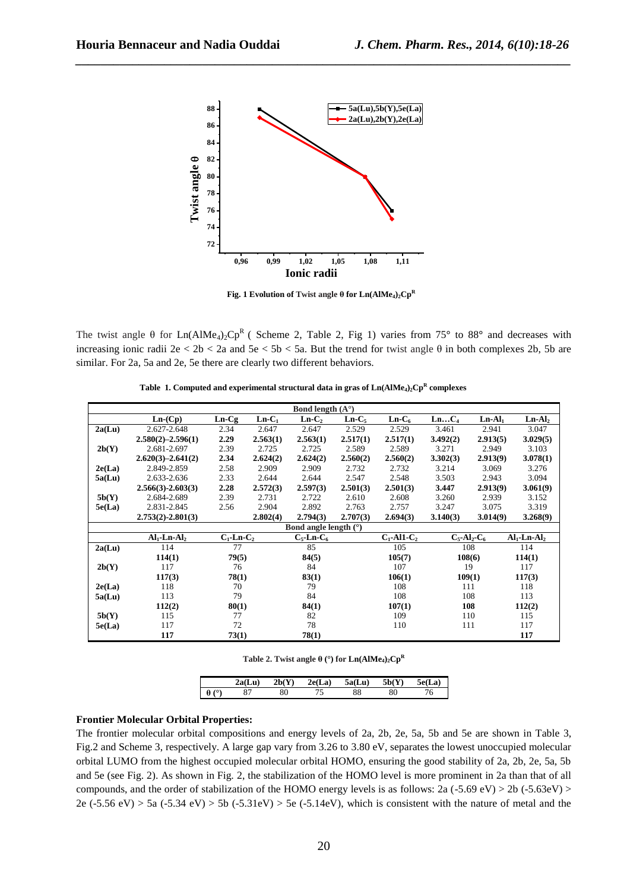

*\_\_\_\_\_\_\_\_\_\_\_\_\_\_\_\_\_\_\_\_\_\_\_\_\_\_\_\_\_\_\_\_\_\_\_\_\_\_\_\_\_\_\_\_\_\_\_\_\_\_\_\_\_\_\_\_\_\_\_\_\_\_\_\_\_\_\_\_\_\_\_\_\_\_\_\_\_\_*

**Fig. 1 Evolution of Twist angle θ for Ln(AlMe4)2Cp<sup>R</sup>**

The twist angle  $\theta$  for Ln(AlMe<sub>4</sub>)<sub>2</sub>Cp<sup>R</sup> ( Scheme 2, Table 2, Fig 1) varies from 75° to 88° and decreases with increasing ionic radii 2e < 2b < 2a and 5e < 5b < 5a. But the trend for twist angle θ in both complexes 2b, 5b are similar. For 2a, 5a and 2e, 5e there are clearly two different behaviors.

 **Table 1. Computed and experimental structural data in gras of Ln(AlMe4)2Cp<sup>R</sup> complexes**

|        |                           |                  |          | Bond length $(A^{\circ})$ |          |                   |          |                                        |                  |
|--------|---------------------------|------------------|----------|---------------------------|----------|-------------------|----------|----------------------------------------|------------------|
|        | $Ln-(Cp)$                 | $Ln-Cg$          | $Ln-C_1$ | $Ln-C2$                   | $Ln-C5$  | $Ln-C6$           | $LnC_4$  | $Ln-Al1$                               | $Ln-Al2$         |
| 2a(Lu) | 2.627-2.648               | 2.34             | 2.647    | 2.647                     | 2.529    | 2.529             | 3.461    | 2.941                                  | 3.047            |
|        | $2.580(2)-2.596(1)$       | 2.29             | 2.563(1) | 2.563(1)                  | 2.517(1) | 2.517(1)          | 3.492(2) | 2.913(5)                               | 3.029(5)         |
| 2b(Y)  | 2.681-2.697               | 2.39             | 2.725    | 2.725                     | 2.589    | 2.589             | 3.271    | 2.949                                  | 3.103            |
|        | $2.620(3)-2.641(2)$       | 2.34             | 2.624(2) | 2.624(2)                  | 2.560(2) | 2.560(2)          | 3.302(3) | 2.913(9)                               | 3.078(1)         |
| 2e(La) | 2.849-2.859               | 2.58             | 2.909    | 2.909                     | 2.732    | 2.732             | 3.214    | 3.069                                  | 3.276            |
| 5a(Lu) | 2.633-2.636               | 2.33             | 2.644    | 2.644                     | 2.547    | 2.548             | 3.503    | 2.943                                  | 3.094            |
|        | $2.566(3) - 2.603(3)$     | 2.28             | 2.572(3) | 2.597(3)                  | 2.501(3) | 2.501(3)          | 3.447    | 2.913(9)                               | 3.061(9)         |
| 5b(Y)  | 2.684-2.689               | 2.39             | 2.731    | 2.722                     | 2.610    | 2.608             | 3.260    | 2.939                                  | 3.152            |
| 5e(La) | 2.831-2.845               | 2.56             | 2.904    | 2.892                     | 2.763    | 2.757             | 3.247    | 3.075                                  | 3.319            |
|        | $2,753(2)-2,801(3)$       |                  | 2.802(4) | 2.794(3)                  | 2.707(3) | 2.694(3)          | 3.140(3) | 3.014(9)                               | 3.268(9)         |
|        |                           |                  |          | Bond angle length $(°)$   |          |                   |          |                                        |                  |
|        | $Al1$ -Ln-Al <sub>2</sub> | $C_1$ -Ln- $C_2$ |          | $C_5$ -Ln- $C_6$          |          | $C_1$ -Al1- $C_2$ |          | $C_5$ -Al <sub>2</sub> -C <sub>6</sub> | $Al1$ -Ln- $Al2$ |
| 2a(Lu) | 114                       | 77               |          | 85                        |          | 105               |          | 108                                    | 114              |
|        | 114(1)                    | 79(5)            |          | 84(5)                     |          | 105(7)            |          | 108(6)                                 | 114(1)           |
| 2b(Y)  | 117                       | 76               |          | 84                        |          | 107               |          | 19                                     | 117              |
|        | 117(3)                    | 78(1)            |          | 83(1)                     |          | 106(1)            |          | 109(1)                                 | 117(3)           |
| 2e(La) | 118                       | 70               |          | 79                        |          | 108               |          | 111                                    | 118              |
| 5a(Lu) | 113                       | 79               |          | 84                        |          | 108               |          | 108                                    | 113              |
|        | 112(2)                    | 80(1)            |          | 84(1)                     |          | 107(1)            |          | 108                                    | 112(2)           |
| 5b(Y)  | 115                       | 77               |          | 82                        |          | 109               |          | 110                                    | 115              |
| 5e(La) | 117                       | 72               |          | 78                        |          | 110               |          | 111                                    | 117              |
|        | 117                       | 73(1)            |          | 78(1)                     |          |                   |          |                                        | 117              |

**Table 2. Twist angle**  $\theta$  **(°) for Ln(AlMe<sub>4</sub>)<sub>2</sub>** $\mathbf{Cp}^R$ 

|         | $\mathbf{r}$<br>اللاس<br>4a. | 2b( | $\mathcal{L}e(La)$ | 5a(Lu) | ш  | LЭ<br>، ہ |
|---------|------------------------------|-----|--------------------|--------|----|-----------|
| ٬٥<br>н | 01                           | υv  | ب                  | ٥o     | οu | O         |

#### **Frontier Molecular Orbital Properties:**

The frontier molecular orbital compositions and energy levels of 2a, 2b, 2e, 5a, 5b and 5e are shown in Table 3, Fig.2 and Scheme 3, respectively. A large gap vary from 3.26 to 3.80 eV, separates the lowest unoccupied molecular orbital LUMO from the highest occupied molecular orbital HOMO, ensuring the good stability of 2a, 2b, 2e, 5a, 5b and 5e (see Fig. 2). As shown in Fig. 2, the stabilization of the HOMO level is more prominent in 2a than that of all compounds, and the order of stabilization of the HOMO energy levels is as follows: 2a (-5.69 eV) > 2b (-5.63eV) > 2e (-5.56 eV) > 5a (-5.34 eV) > 5b (-5.31 eV) > 5e (-5.14 eV), which is consistent with the nature of metal and the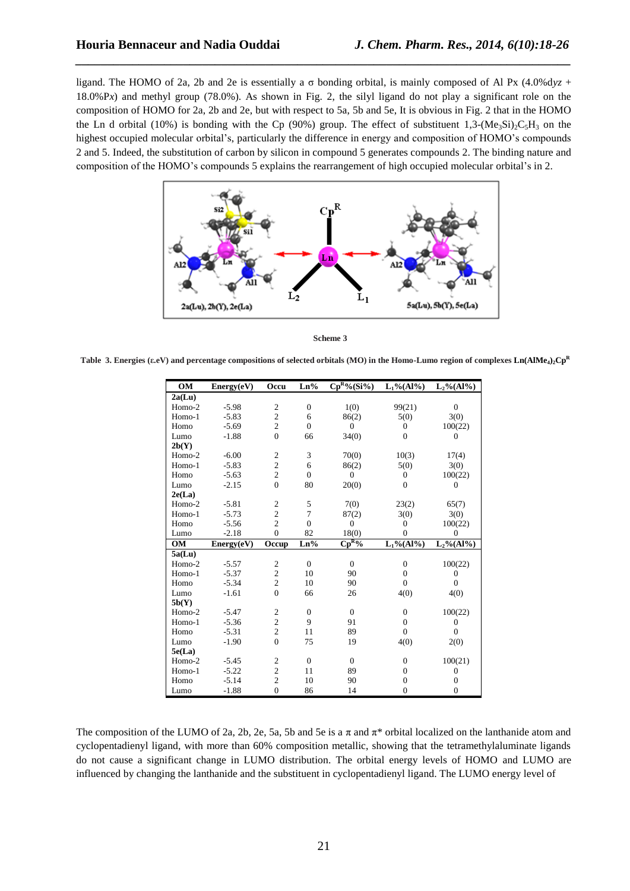ligand. The HOMO of 2a, 2b and 2e is essentially a σ bonding orbital, is mainly composed of Al Px (4.0%d*yz* + 18.0%P*x*) and methyl group (78.0%). As shown in Fig. 2, the silyl ligand do not play a significant role on the composition of HOMO for 2a, 2b and 2e, but with respect to 5a, 5b and 5e, It is obvious in Fig. 2 that in the HOMO the Ln d orbital (10%) is bonding with the Cp (90%) group. The effect of substituent 1,3-(Me<sub>3</sub>Si)<sub>2</sub>C<sub>5</sub>H<sub>3</sub> on the highest occupied molecular orbital's, particularly the difference in energy and composition of HOMO's compounds 2 and 5. Indeed, the substitution of carbon by silicon in compound 5 generates compounds 2. The binding nature and composition of the HOMO's compounds 5 explains the rearrangement of high occupied molecular orbital's in 2.

*\_\_\_\_\_\_\_\_\_\_\_\_\_\_\_\_\_\_\_\_\_\_\_\_\_\_\_\_\_\_\_\_\_\_\_\_\_\_\_\_\_\_\_\_\_\_\_\_\_\_\_\_\_\_\_\_\_\_\_\_\_\_\_\_\_\_\_\_\_\_\_\_\_\_\_\_\_\_*



 **Scheme 3**

 **Table 3. Energies (ε.eV) and percentage compositions of selected orbitals (MO) in the Homo-Lumo region of complexes Ln(AlMe4)2Cp<sup>R</sup>**

| OM        | Energy(eV) | Occu                                      | $Ln\%$           | $\overline{\text{Cp}^{\text{R}_{0}}\text{/s}(\text{Si}\text{/s})}$ | $L_1\% (Al\%)$         | $L_2\% (Al\%)$   |
|-----------|------------|-------------------------------------------|------------------|--------------------------------------------------------------------|------------------------|------------------|
| 2a(Lu)    |            |                                           |                  |                                                                    |                        |                  |
| Homo-2    | $-5.98$    | $\boldsymbol{2}$                          | $\boldsymbol{0}$ | 1(0)                                                               | 99(21)                 | $\overline{0}$   |
| Homo-1    | $-5.83$    | $\overline{c}$                            | 6                | 86(2)                                                              | 5(0)                   | 3(0)             |
| Homo      | $-5.69$    | $\overline{c}$                            | $\mathbf{0}$     | $\overline{0}$                                                     | $\theta$               | 100(22)          |
| Lumo      | $-1.88$    | $\overline{0}$                            | 66               | 34(0)                                                              | $\overline{0}$         | $\theta$         |
| 2b(Y)     |            |                                           |                  |                                                                    |                        |                  |
| Homo-2    | $-6.00$    | $\sqrt{2}$                                | 3                | 70(0)                                                              | 10(3)                  | 17(4)            |
| Homo-1    | $-5.83$    | $\overline{c}$                            | 6                | 86(2)                                                              | 5(0)                   | 3(0)             |
| Homo      | $-5.63$    | $\sqrt{2}$                                | $\mathbf{0}$     | $\overline{0}$                                                     | $\boldsymbol{0}$       | 100(22)          |
| Lumo      | $-2.15$    | $\theta$                                  | 80               | 20(0)                                                              | $\Omega$               | $\Omega$         |
| 2e(La)    |            |                                           |                  |                                                                    |                        |                  |
| Homo-2    | $-5.81$    | $\mathfrak{2}$                            | 5                | 7(0)                                                               | 23(2)                  | 65(7)            |
| Homo-1    | $-5.73$    | $\overline{c}$                            | $\overline{7}$   | 87(2)                                                              | 3(0)                   | 3(0)             |
| Homo      | $-5.56$    | $\overline{c}$                            | $\mathbf{0}$     | $\overline{0}$                                                     | $\overline{0}$         | 100(22)          |
| Lumo      | $-2.18$    | $\overline{0}$                            | 82               | 18(0)                                                              | $\theta$               | $\overline{0}$   |
|           |            |                                           |                  |                                                                    |                        |                  |
| <b>OM</b> | Energy(eV) | Occup                                     | $Ln\%$           | $\mathbf{Cp^{R}9}_{0}$                                             | $L_1\%(\mathrm{Al}\%)$ | $L_2\% (Al\%)$   |
| 5a(Lu)    |            |                                           |                  |                                                                    |                        |                  |
| Homo-2    | $-5.57$    | $\overline{c}$                            | $\mathbf{0}$     | $\overline{0}$                                                     | $\boldsymbol{0}$       | 100(22)          |
| Homo-1    | $-5.37$    | $\overline{c}$                            | 10               | 90                                                                 | $\theta$               | $\theta$         |
| Homo      | $-5.34$    | $\overline{c}$                            | 10               | 90                                                                 | $\mathbf{0}$           | $\overline{0}$   |
| Lumo      | $-1.61$    | $\theta$                                  | 66               | 26                                                                 | 4(0)                   | 4(0)             |
| 5b(Y)     |            |                                           |                  |                                                                    |                        |                  |
| Homo-2    | $-5.47$    | $\mathfrak{2}$                            | $\mathbf{0}$     | $\overline{0}$                                                     | $\mathbf{0}$           | 100(22)          |
| Homo-1    | $-5.36$    |                                           | 9                | 91                                                                 | $\mathbf{0}$           | $\boldsymbol{0}$ |
| Homo      | $-5.31$    | $\overline{\mathbf{c}}$<br>$\overline{c}$ | 11               | 89                                                                 | $\Omega$               | $\Omega$         |
| Lumo      | $-1.90$    | $\overline{0}$                            | 75               | 19                                                                 | 4(0)                   | 2(0)             |
| 5e(La)    |            |                                           |                  |                                                                    |                        |                  |
| Homo-2    | $-5.45$    | $\mathfrak{2}$                            | $\mathbf{0}$     | $\Omega$                                                           | $\overline{0}$         | 100(21)          |
| Homo-1    | $-5.22$    | $\sqrt{2}$                                | 11               | 89                                                                 | $\Omega$               | $\theta$         |
| Homo      | $-5.14$    | $\overline{c}$                            | 10               | 90                                                                 | $\overline{0}$         | $\theta$         |

The composition of the LUMO of 2a, 2b, 2e, 5a, 5b and 5e is a  $\pi$  and  $\pi^*$  orbital localized on the lanthanide atom and cyclopentadienyl ligand, with more than 60% composition metallic, showing that the tetramethylaluminate ligands do not cause a significant change in LUMO distribution. The orbital energy levels of HOMO and LUMO are influenced by changing the lanthanide and the substituent in cyclopentadienyl ligand. The LUMO energy level of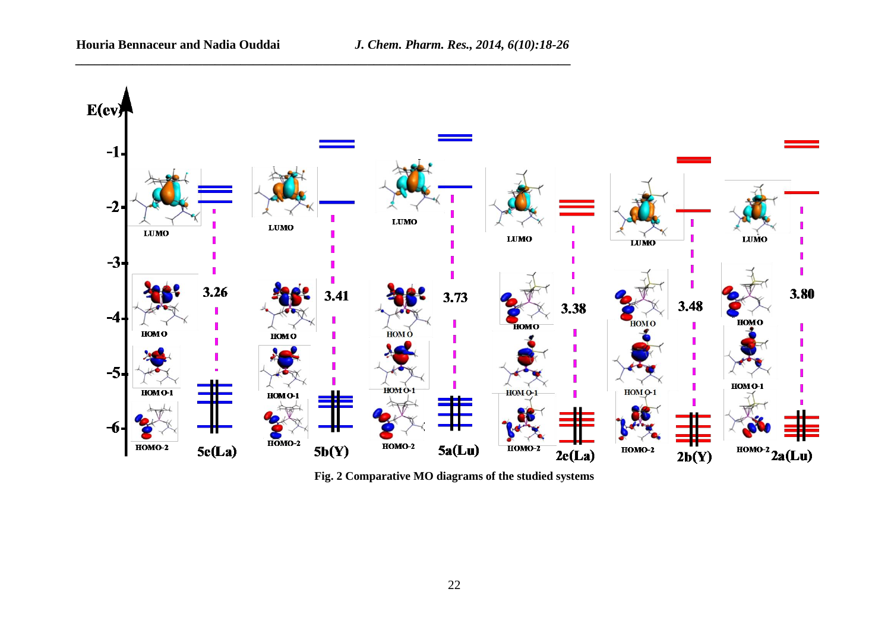*\_\_\_\_\_\_\_\_\_\_\_\_\_\_\_\_\_\_\_\_\_\_\_\_\_\_\_\_\_\_\_\_\_\_\_\_\_\_\_\_\_\_\_\_\_\_\_\_\_\_\_\_\_\_\_\_\_\_\_\_\_\_\_\_\_\_\_\_\_\_\_\_\_\_\_\_\_\_*



**Fig. 2 Comparative MO diagrams of the studied systems**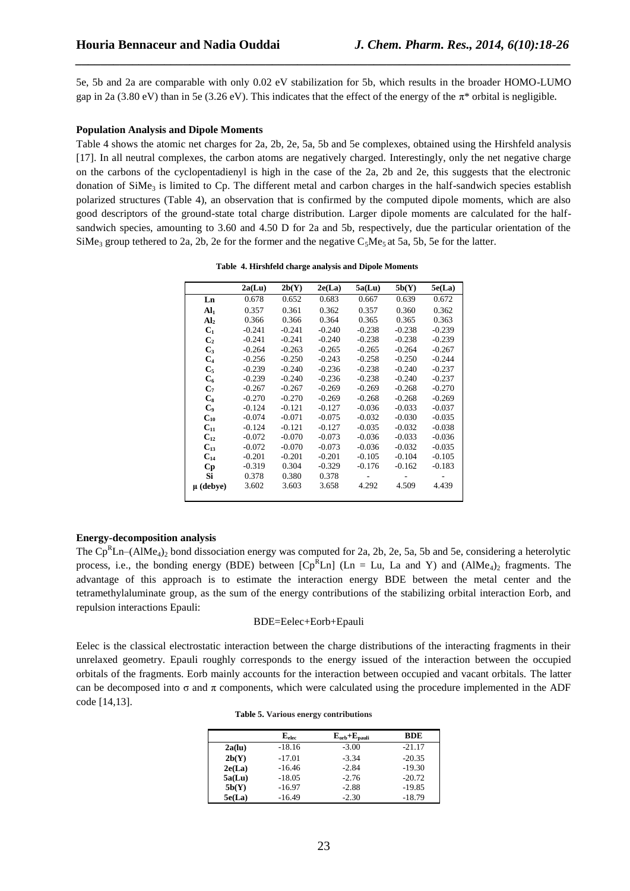5e, 5b and 2a are comparable with only 0.02 eV stabilization for 5b, which results in the broader HOMO-LUMO gap in 2a (3.80 eV) than in 5e (3.26 eV). This indicates that the effect of the energy of the π\* orbital is negligible**.**

*\_\_\_\_\_\_\_\_\_\_\_\_\_\_\_\_\_\_\_\_\_\_\_\_\_\_\_\_\_\_\_\_\_\_\_\_\_\_\_\_\_\_\_\_\_\_\_\_\_\_\_\_\_\_\_\_\_\_\_\_\_\_\_\_\_\_\_\_\_\_\_\_\_\_\_\_\_\_*

#### **Population Analysis and Dipole Moments**

Table 4 shows the atomic net charges for 2a, 2b, 2e, 5a, 5b and 5e complexes, obtained using the Hirshfeld analysis [17]. In all neutral complexes, the carbon atoms are negatively charged. Interestingly, only the net negative charge on the carbons of the cyclopentadienyl is high in the case of the 2a, 2b and 2e, this suggests that the electronic donation of SiMe<sub>3</sub> is limited to Cp. The different metal and carbon charges in the half-sandwich species establish polarized structures (Table 4), an observation that is confirmed by the computed dipole moments, which are also good descriptors of the ground-state total charge distribution. Larger dipole moments are calculated for the halfsandwich species, amounting to 3.60 and 4.50 D for 2a and 5b, respectively, due the particular orientation of the SiMe<sub>3</sub> group tethered to 2a, 2b, 2e for the former and the negative  $C_5Me_5$  at 5a, 5b, 5e for the latter.

|                 | 2a(Lu)   | 2b(Y)    | 2e(La)   | 5a(Lu)   | 5b(Y)    | 5e(La)   |
|-----------------|----------|----------|----------|----------|----------|----------|
| Ln              | 0.678    | 0.652    | 0.683    | 0.667    | 0.639    | 0.672    |
| Al <sub>1</sub> | 0.357    | 0.361    | 0.362    | 0.357    | 0.360    | 0.362    |
| Al <sub>2</sub> | 0.366    | 0.366    | 0.364    | 0.365    | 0.365    | 0.363    |
| C <sub>1</sub>  | $-0.241$ | $-0.241$ | $-0.240$ | $-0.238$ | $-0.238$ | $-0.239$ |
| $\mathbf{C}_2$  | $-0.241$ | $-0.241$ | $-0.240$ | $-0.238$ | $-0.238$ | $-0.239$ |
| $C_3$           | $-0.264$ | $-0.263$ | $-0.265$ | $-0.265$ | $-0.264$ | $-0.267$ |
| $C_4$           | $-0.256$ | $-0.250$ | $-0.243$ | $-0.258$ | $-0.250$ | $-0.244$ |
| $C_5$           | $-0.239$ | $-0.240$ | $-0.236$ | $-0.238$ | $-0.240$ | $-0.237$ |
| $C_6$           | $-0.239$ | $-0.240$ | $-0.236$ | $-0.238$ | $-0.240$ | $-0.237$ |
| $C_7$           | $-0.267$ | $-0.267$ | $-0.269$ | $-0.269$ | $-0.268$ | $-0.270$ |
| $C_{8}$         | $-0.270$ | $-0.270$ | $-0.269$ | $-0.268$ | $-0.268$ | $-0.269$ |
| $\mathbf{C}_9$  | $-0.124$ | $-0.121$ | $-0.127$ | $-0.036$ | $-0.033$ | $-0.037$ |
| $C_{10}$        | $-0.074$ | $-0.071$ | $-0.075$ | $-0.032$ | $-0.030$ | $-0.035$ |
| $C_{11}$        | $-0.124$ | $-0.121$ | $-0.127$ | $-0.035$ | $-0.032$ | $-0.038$ |
| $C_{12}$        | $-0.072$ | $-0.070$ | $-0.073$ | $-0.036$ | $-0.033$ | $-0.036$ |
| $C_{13}$        | $-0.072$ | $-0.070$ | $-0.073$ | $-0.036$ | $-0.032$ | $-0.035$ |
| $C_{14}$        | $-0.201$ | $-0.201$ | $-0.201$ | $-0.105$ | $-0.104$ | $-0.105$ |
| Cр              | $-0.319$ | 0.304    | $-0.329$ | $-0.176$ | $-0.162$ | $-0.183$ |
| Si              | 0.378    | 0.380    | 0.378    |          |          |          |
| $\mu$ (debve)   | 3.602    | 3.603    | 3.658    | 4.292    | 4.509    | 4.439    |
|                 |          |          |          |          |          |          |

## **Energy-decomposition analysis**

The  $Cp^RLn-(AIME_4)_2$  bond dissociation energy was computed for 2a, 2b, 2e, 5a, 5b and 5e, considering a heterolytic process, i.e., the bonding energy (BDE) between  $[Cp^RLn]$  (Ln = Lu, La and Y) and (AlMe<sub>4</sub>)<sub>2</sub> fragments. The advantage of this approach is to estimate the interaction energy BDE between the metal center and the tetramethylaluminate group, as the sum of the energy contributions of the stabilizing orbital interaction Eorb, and repulsion interactions Epauli:

#### BDE=Eelec+Eorb+Epauli

Eelec is the classical electrostatic interaction between the charge distributions of the interacting fragments in their unrelaxed geometry. Epauli roughly corresponds to the energy issued of the interaction between the occupied orbitals of the fragments. Eorb mainly accounts for the interaction between occupied and vacant orbitals. The latter can be decomposed into  $\sigma$  and  $\pi$  components, which were calculated using the procedure implemented in the ADF code [14,13].

| <b>Table 5. Various energy contributions</b> |
|----------------------------------------------|
|                                              |

|        | ${\bf E}_{\rm elec}$ | $E_{orb}+E_{pauli}$ | <b>BDE</b> |
|--------|----------------------|---------------------|------------|
| 2a(lu) | $-18.16$             | $-3.00$             | $-21.17$   |
| 2b(Y)  | $-17.01$             | $-3.34$             | $-20.35$   |
| 2e(La) | $-16.46$             | $-2.84$             | $-19.30$   |
| 5a(Lu) | $-18.05$             | $-2.76$             | $-20.72$   |
| 5b(Y)  | $-16.97$             | $-2.88$             | $-19.85$   |
| 5e(La) | $-16.49$             | $-2.30$             | $-18.79$   |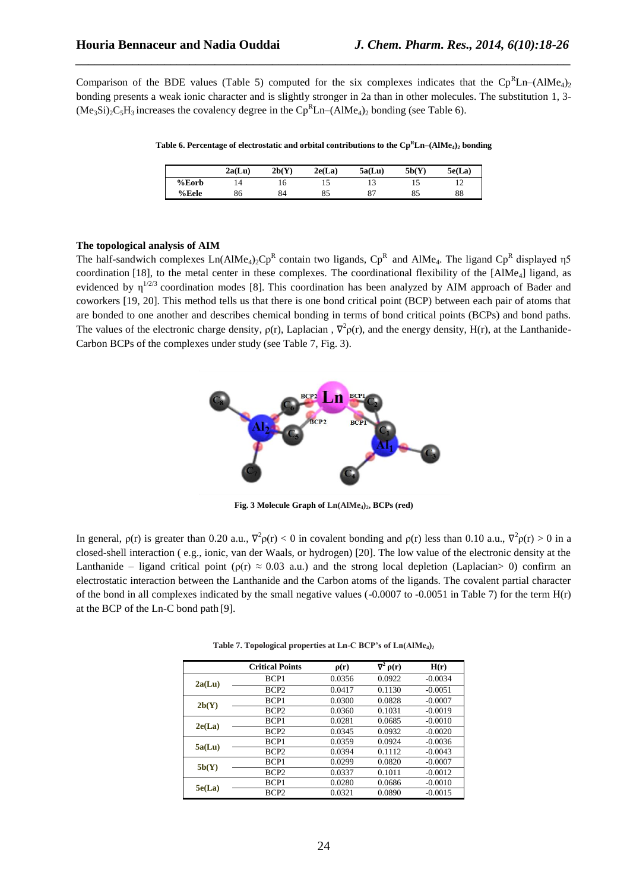Comparison of the BDE values (Table 5) computed for the six complexes indicates that the  $\text{Cp}^R\text{Ln}$ –(AlMe<sub>4</sub>)<sub>2</sub> bonding presents a weak ionic character and is slightly stronger in 2a than in other molecules. The substitution 1, 3-  $(Me<sub>3</sub>Si)<sub>2</sub>C<sub>5</sub>H<sub>3</sub>$  increases the covalency degree in the Cp<sup>R</sup>Ln–(AlMe<sub>4</sub>)<sub>2</sub> bonding (see Table 6).

*\_\_\_\_\_\_\_\_\_\_\_\_\_\_\_\_\_\_\_\_\_\_\_\_\_\_\_\_\_\_\_\_\_\_\_\_\_\_\_\_\_\_\_\_\_\_\_\_\_\_\_\_\_\_\_\_\_\_\_\_\_\_\_\_\_\_\_\_\_\_\_\_\_\_\_\_\_\_*

**Table 6. Percentage of electrostatic and orbital contributions to the Cp<sup>R</sup>Ln–(AlMe4)<sup>2</sup> bonding**

|       | 2a(Lu) | 2b(Y) | 2e(La) | 5a(Lu) | 5b(Y) | 5e(La) |
|-------|--------|-------|--------|--------|-------|--------|
| %Eorb | '4     | 16.   |        |        |       | - ⊥    |
| %Eele | 86     | 84    | 85     | 87     | 85    | 88     |

#### **The topological analysis of AIM**

The half-sandwich complexes  $Ln(AIME_4)_2 Cp^R$  contain two ligands,  $Cp^R$  and  $AlMe_4$ . The ligand  $Cp^R$  displayed  $\eta$ 5 coordination [18], to the metal center in these complexes. The coordinational flexibility of the [AlMe<sub>4</sub>] ligand, as evidenced by  $\eta^{1/2/3}$  coordination modes [8]. This coordination has been analyzed by AIM approach of Bader and coworkers [19, 20]. This method tells us that there is one bond critical point (BCP) between each pair of atoms that are bonded to one another and describes chemical bonding in terms of bond critical points (BCPs) and bond paths. The values of the electronic charge density,  $\rho(r)$ , Laplacian,  $\nabla^2 \rho(r)$ , and the energy density, H(r), at the Lanthanide-Carbon BCPs of the complexes under study (see Table 7, Fig. 3).



**Fig. 3 Molecule Graph of Ln(AlMe4)2, BCPs (red)**

In general,  $\rho(r)$  is greater than 0.20 a.u.,  $\nabla^2 \rho(r) < 0$  in covalent bonding and  $\rho(r)$  less than 0.10 a.u.,  $\nabla^2 \rho(r) > 0$  in a closed-shell interaction ( e.g., ionic, van der Waals, or hydrogen) [20]. The low value of the electronic density at the Lanthanide – ligand critical point ( $\rho(r) \approx 0.03$  a.u.) and the strong local depletion (Laplacian> 0) confirm an electrostatic interaction between the Lanthanide and the Carbon atoms of the ligands. The covalent partial character of the bond in all complexes indicated by the small negative values  $(-0.0007$  to  $-0.0051$  in Table 7) for the term  $H(r)$ at the BCP of the Ln-C bond path [9].

|        | <b>Critical Points</b> | $\rho(r)$ | $\nabla^2 \rho(r)$ | H(r)      |
|--------|------------------------|-----------|--------------------|-----------|
| 2a(Lu) | BCP1                   | 0.0356    | 0.0922             | $-0.0034$ |
|        | BCP <sub>2</sub>       | 0.0417    | 0.1130             | $-0.0051$ |
| 2b(Y)  | BCP1                   | 0.0300    | 0.0828             | $-0.0007$ |
|        | BCP <sub>2</sub>       | 0.0360    | 0.1031             | $-0.0019$ |
| 2e(La) | BCP1                   | 0.0281    | 0.0685             | $-0.0010$ |
|        | BCP <sub>2</sub>       | 0.0345    | 0.0932             | $-0.0020$ |
| 5a(Lu) | BCP1                   | 0.0359    | 0.0924             | $-0.0036$ |
|        | BCP <sub>2</sub>       | 0.0394    | 0.1112             | $-0.0043$ |
| 5b(Y)  | BCP1                   | 0.0299    | 0.0820             | $-0.0007$ |
|        | BCP <sub>2</sub>       | 0.0337    | 0.1011             | $-0.0012$ |
| 5e(La) | BCP1                   | 0.0280    | 0.0686             | $-0.0010$ |
|        | BCP <sub>2</sub>       | 0.0321    | 0.0890             | $-0.0015$ |

**Table 7. Topological properties at Ln-C BCP's of Ln(AlMe4)<sup>2</sup>**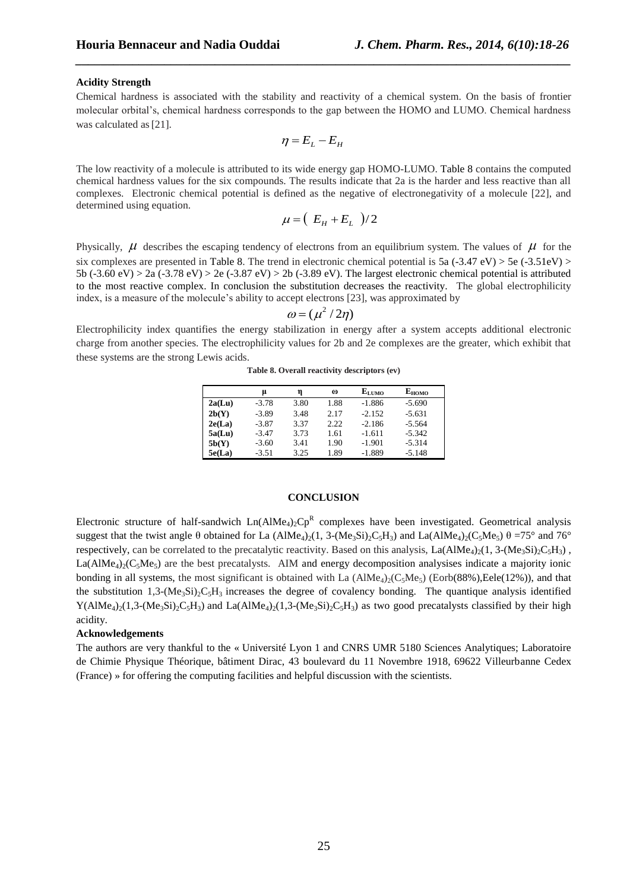#### **Acidity Strength**

Chemical hardness is associated with the stability and reactivity of a chemical system. On the basis of frontier molecular orbital's, chemical hardness corresponds to the gap between the HOMO and LUMO. Chemical hardness was calculated as [21].

*\_\_\_\_\_\_\_\_\_\_\_\_\_\_\_\_\_\_\_\_\_\_\_\_\_\_\_\_\_\_\_\_\_\_\_\_\_\_\_\_\_\_\_\_\_\_\_\_\_\_\_\_\_\_\_\_\_\_\_\_\_\_\_\_\_\_\_\_\_\_\_\_\_\_\_\_\_\_*

$$
\eta = E_L - E_H
$$

The low reactivity of a molecule is attributed to its wide energy gap HOMO-LUMO. Table 8 contains the computed chemical hardness values for the six compounds. The results indicate that 2a is the harder and less reactive than all complexes. Electronic chemical potential is defined as the negative of electronegativity of a molecule [22], and determined using equation.

$$
\mu = \left(E_H + E_L\right)/2
$$

Physically,  $\mu$  describes the escaping tendency of electrons from an equilibrium system. The values of  $\mu$  for the six complexes are presented in Table 8. The trend in electronic chemical potential is 5a  $(.3.47 \text{ eV}) > 5e (.3.51 \text{ eV}) >$ 5b (-3.60 eV) > 2a (-3.78 eV) > 2e (-3.87 eV) > 2b (-3.89 eV). The largest electronic chemical potential is attributed to the most reactive complex. In conclusion the substitution decreases the reactivity. The global electrophilicity index, is a measure of the molecule's ability to accept electrons [23], was approximated by

$$
\omega = (\mu^2/2\eta)
$$

Electrophilicity index quantifies the energy stabilization in energy after a system accepts additional electronic charge from another species. The electrophilicity values for 2b and 2e complexes are the greater, which exhibit that these systems are the strong Lewis acids.

**Table 8. Overall reactivity descriptors (ev)**

|        | u       | η    | $\omega$ | $E_{LIMO}$ | Еномо    |
|--------|---------|------|----------|------------|----------|
| 2a(Lu) | $-3.78$ | 3.80 | 1.88     | $-1.886$   | $-5.690$ |
| 2b(Y)  | $-3.89$ | 3.48 | 2.17     | $-2.152$   | $-5.631$ |
| 2e(La) | $-3.87$ | 3.37 | 2.22     | $-2.186$   | $-5.564$ |
| 5a(Lu) | $-3.47$ | 3.73 | 1.61     | $-1.611$   | $-5.342$ |
| 5b(Y)  | $-3.60$ | 3.41 | 1.90     | $-1.901$   | $-5.314$ |
| 5e(La) | $-3.51$ | 3.25 | 1.89     | $-1.889$   | $-5.148$ |

## **CONCLUSION**

Electronic structure of half-sandwich  $Ln(AIME_4)_2Cp^R$  complexes have been investigated. Geometrical analysis suggest that the twist angle  $\theta$  obtained for La (AlMe<sub>4</sub>)<sub>2</sub>(1, 3-(Me<sub>3</sub>Si)<sub>2</sub>C<sub>5</sub>H<sub>3</sub>) and La(AlMe<sub>4</sub>)<sub>2</sub>(C<sub>5</sub>Me<sub>5</sub>)  $\theta$  =75° and 76° respectively, can be correlated to the precatalytic reactivity. Based on this analysis, La(AlMe<sub>4</sub>)<sub>2</sub>(1, 3-(Me<sub>3</sub>Si)<sub>2</sub>C<sub>5</sub>H<sub>3</sub>),  $La(AlMe<sub>4</sub>)<sub>2</sub>(C<sub>5</sub>Me<sub>5</sub>)$  are the best precatalysts. AIM and energy decomposition analysises indicate a majority ionic bonding in all systems, the most significant is obtained with La  $(AIMe<sub>4</sub>)<sub>2</sub>(C<sub>5</sub>Me<sub>5</sub>)$  (Eorb(88%), Eele(12%)), and that the substitution  $1,3-(Me<sub>3</sub>Si)<sub>2</sub>C<sub>5</sub>H<sub>3</sub>$  increases the degree of covalency bonding. The quantique analysis identified  $Y(AIMe<sub>4</sub>)<sub>2</sub>(1,3-(Me<sub>3</sub>Si)<sub>2</sub>C<sub>5</sub>H<sub>3</sub>)$  and La(AlMe<sub>4</sub>)<sub>2</sub>(1,3-(Me<sub>3</sub>Si)<sub>2</sub>C<sub>5</sub>H<sub>3</sub>) as two good precatalysts classified by their high acidity.

#### **Acknowledgements**

The authors are very thankful to the « Université Lyon 1 and CNRS UMR 5180 Sciences Analytiques; Laboratoire de Chimie Physique Théorique, bâtiment Dirac, 43 boulevard du 11 Novembre 1918, 69622 Villeurbanne Cedex (France) » for offering the computing facilities and helpful discussion with the scientists.